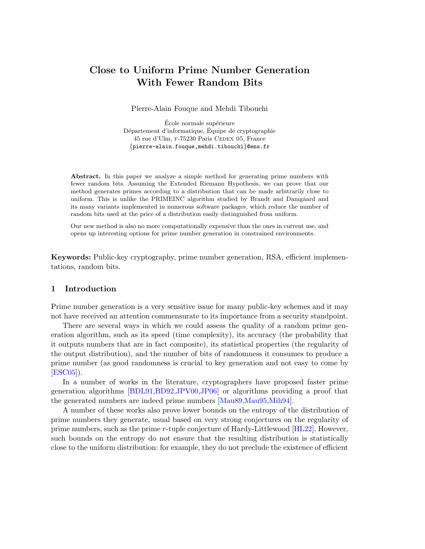# Close to Uniform Prime Number Generation With Fewer Random Bits

Pierre-Alain Fouque and Mehdi Tibouchi

École normale supérieure Département d'informatique, Équipe de cryptographie 45 rue d'Ulm, F-75230 Paris CEDEX 05, France {pierre-alain.fouque,mehdi.tibouchi}@ens.fr

Abstract. In this paper we analyze a simple method for generating prime numbers with fewer random bits. Assuming the Extended Riemann Hypothesis, we can prove that our method generates primes according to a distribution that can be made arbitrarily close to uniform. This is unlike the PRIMEINC algorithm studied by Brandt and Damgåard and its many variants implemented in numerous software packages, which reduce the number of random bits used at the price of a distribution easily distinguished from uniform.

Our new method is also no more computationally expensive than the ones in current use, and opens up interesting options for prime number generation in constrained environments.

Keywords: Public-key cryptography, prime number generation, RSA, efficient implementations, random bits.

# 1 Introduction

Prime number generation is a very sensitive issue for many public-key schemes and it may not have received an attention commensurate to its importance from a security standpoint.

There are several ways in which we could assess the quality of a random prime generation algorithm, such as its speed (time complexity), its accuracy (the probability that it outputs numbers that are in fact composite), its statistical properties (the regularity of the output distribution), and the number of bits of randomness it consumes to produce a prime number (as good randomness is crucial to key generation and not easy to come by [\[ESC05\]](#page-11-0)).

In a number of works in the literature, cryptographers have proposed faster prime generation algorithms [\[BDL91,](#page-11-1)[BD92,](#page-11-2)[JPV00,](#page-11-3)[JP06\]](#page-11-4) or algorithms providing a proof that the generated numbers are indeed prime numbers [\[Mau89,](#page-11-5)[Mau95,](#page-11-6)[Mih94\]](#page-11-7).

A number of these works also prove lower bounds on the entropy of the distribution of prime numbers they generate, usual based on very strong conjectures on the regularity of prime numbers, such as the prime r-tuple conjecture of Hardy-Littlewood [\[HL22\]](#page-11-8). However, such bounds on the entropy do not ensure that the resulting distribution is statistically close to the uniform distribution: for example, they do not preclude the existence of efficient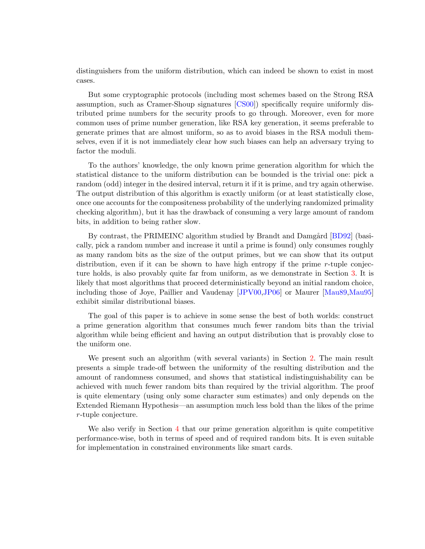distinguishers from the uniform distribution, which can indeed be shown to exist in most cases.

But some cryptographic protocols (including most schemes based on the Strong RSA assumption, such as Cramer-Shoup signatures [\[CS00\]](#page-11-9)) specifically require uniformly distributed prime numbers for the security proofs to go through. Moreover, even for more common uses of prime number generation, like RSA key generation, it seems preferable to generate primes that are almost uniform, so as to avoid biases in the RSA moduli themselves, even if it is not immediately clear how such biases can help an adversary trying to factor the moduli.

To the authors' knowledge, the only known prime generation algorithm for which the statistical distance to the uniform distribution can be bounded is the trivial one: pick a random (odd) integer in the desired interval, return it if it is prime, and try again otherwise. The output distribution of this algorithm is exactly uniform (or at least statistically close, once one accounts for the compositeness probability of the underlying randomized primality checking algorithm), but it has the drawback of consuming a very large amount of random bits, in addition to being rather slow.

By contrast, the PRIMEINC algorithm studied by Brandt and Damgård [\[BD92\]](#page-11-2) (basically, pick a random number and increase it until a prime is found) only consumes roughly as many random bits as the size of the output primes, but we can show that its output distribution, even if it can be shown to have high entropy if the prime  $r$ -tuple conjecture holds, is also provably quite far from uniform, as we demonstrate in Section [3.](#page-7-0) It is likely that most algorithms that proceed deterministically beyond an initial random choice, including those of Joye, Paillier and Vaudenay [\[JPV00](#page-11-3)[,JP06\]](#page-11-4) or Maurer [\[Mau89,](#page-11-5)[Mau95\]](#page-11-6) exhibit similar distributional biases.

The goal of this paper is to achieve in some sense the best of both worlds: construct a prime generation algorithm that consumes much fewer random bits than the trivial algorithm while being efficient and having an output distribution that is provably close to the uniform one.

We present such an algorithm (with several variants) in Section [2.](#page-2-0) The main result presents a simple trade-off between the uniformity of the resulting distribution and the amount of randomness consumed, and shows that statistical indistinguishability can be achieved with much fewer random bits than required by the trivial algorithm. The proof is quite elementary (using only some character sum estimates) and only depends on the Extended Riemann Hypothesis—an assumption much less bold than the likes of the prime r-tuple conjecture.

We also verify in Section [4](#page-9-0) that our prime generation algorithm is quite competitive performance-wise, both in terms of speed and of required random bits. It is even suitable for implementation in constrained environments like smart cards.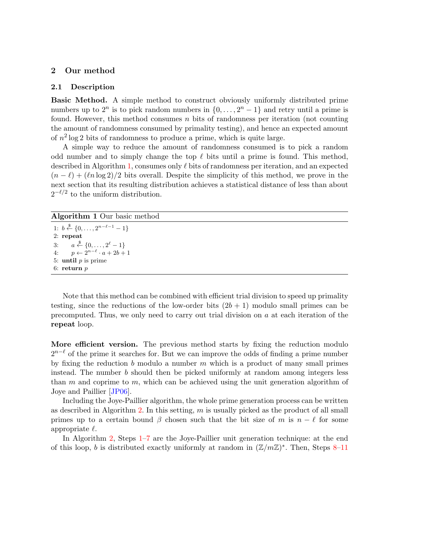## <span id="page-2-0"></span>2 Our method

#### <span id="page-2-2"></span>2.1 Description

Basic Method. A simple method to construct obviously uniformly distributed prime numbers up to  $2^n$  is to pick random numbers in  $\{0, \ldots, 2^n - 1\}$  and retry until a prime is found. However, this method consumes  $n$  bits of randomness per iteration (not counting the amount of randomness consumed by primality testing), and hence an expected amount of  $n^2 \log 2$  bits of randomness to produce a prime, which is quite large.

A simple way to reduce the amount of randomness consumed is to pick a random odd number and to simply change the top  $\ell$  bits until a prime is found. This method, described in Algorithm [1,](#page-2-1) consumes only  $\ell$  bits of randomness per iteration, and an expected  $(n - \ell) + (\ln \log 2)/2$  bits overall. Despite the simplicity of this method, we prove in the next section that its resulting distribution achieves a statistical distance of less than about  $2^{-\ell/2}$  to the uniform distribution.

# <span id="page-2-1"></span>Algorithm 1 Our basic method

```
1: b \stackrel{\$}{\leftarrow} \{0, \ldots, 2^{n-\ell-1} - 1\}2: repeat
3: a \stackrel{\$}{\leftarrow} \{0, \ldots, 2^{\ell} - 1\}4: p \leftarrow 2^{n-\ell} \cdot a + 2b + 15: until p is prime
6: return p
```
Note that this method can be combined with efficient trial division to speed up primality testing, since the reductions of the low-order bits  $(2b + 1)$  modulo small primes can be precomputed. Thus, we only need to carry out trial division on  $a$  at each iteration of the repeat loop.

More efficient version. The previous method starts by fixing the reduction modulo  $2^{n-\ell}$  of the prime it searches for. But we can improve the odds of finding a prime number by fixing the reduction b modulo a number  $m$  which is a product of many small primes instead. The number b should then be picked uniformly at random among integers less than  $m$  and coprime to  $m$ , which can be achieved using the unit generation algorithm of Joye and Paillier [\[JP06\]](#page-11-4).

Including the Joye-Paillier algorithm, the whole prime generation process can be written as described in Algorithm [2.](#page-3-0) In this setting,  $m$  is usually picked as the product of all small primes up to a certain bound  $\beta$  chosen such that the bit size of m is  $n - \ell$  for some appropriate  $\ell$ .

In Algorithm [2,](#page-3-0) Steps [1–7](#page-3-0) are the Joye-Paillier unit generation technique: at the end of this loop, b is distributed exactly uniformly at random in  $(\mathbb{Z}/m\mathbb{Z})^*$ . Then, Steps [8–11](#page-3-0)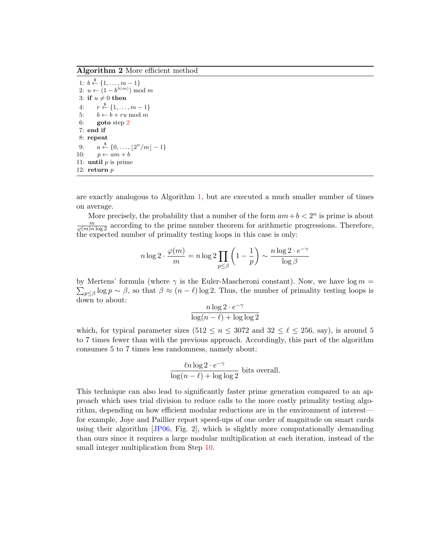<span id="page-3-0"></span>Algorithm 2 More efficient method

1:  $b \stackrel{\$}{\leftarrow} \{1, \ldots, m-1\}$ 2:  $u \leftarrow (1 - b^{\lambda(m)}) \mod m$ 3: if  $u \neq 0$  then  $4:$  $r \stackrel{\$}{\leftarrow} \{1, \ldots, m-1\}$ 5:  $b \leftarrow b + ru \mod m$ 6: goto step [2](#page-3-0) 7: end if 8: repeat 9:  $a \stackrel{\$}{\leftarrow} \{0, \ldots, \lfloor 2^n/m \rfloor - 1\}$ 10:  $p \leftarrow am + b$ 11: **until**  $p$  is prime 12: return  $p$ 

are exactly analogous to Algorithm [1,](#page-2-1) but are executed a much smaller number of times on average.

More precisely, the probability that a number of the form  $am+b < 2^n$  is prime is about  $\frac{m}{\varphi(m)n \log 2}$  according to the prime number theorem for arithmetic progressions. Therefore, the expected number of primality testing loops in this case is only:

$$
n \log 2 \cdot \frac{\varphi(m)}{m} = n \log 2 \prod_{p \le \beta} \left( 1 - \frac{1}{p} \right) \sim \frac{n \log 2 \cdot e^{-\gamma}}{\log \beta}
$$

by Mertens' formula (where  $\gamma$  is the Euler-Mascheroni constant). Now, we have  $\log m =$  $\sum_{p\leq \beta} \log p \sim \beta$ , so that  $\beta \approx (n-\ell) \log 2$ . Thus, the number of primality testing loops is down to about:

$$
\frac{n\log 2 \cdot e^{-\gamma}}{\log(n-\ell) + \log\log 2}
$$

which, for typical parameter sizes  $(512 \le n \le 3072$  and  $32 \le \ell \le 256$ , say), is around 5 to 7 times fewer than with the previous approach. Accordingly, this part of the algorithm consumes 5 to 7 times less randomness, namely about:

$$
\frac{\ln \log 2 \cdot e^{-\gamma}}{\log (n - \ell) + \log \log 2}
$$
 bits overall.

This technique can also lead to significantly faster prime generation compared to an approach which uses trial division to reduce calls to the more costly primality testing algorithm, depending on how efficient modular reductions are in the environment of interest for example, Joye and Paillier report speed-ups of one order of magnitude on smart cards using their algorithm  $JPO6$ , Fig. 2, which is slightly more computationally demanding than ours since it requires a large modular multiplication at each iteration, instead of the small integer multiplication from Step [10.](#page-3-0)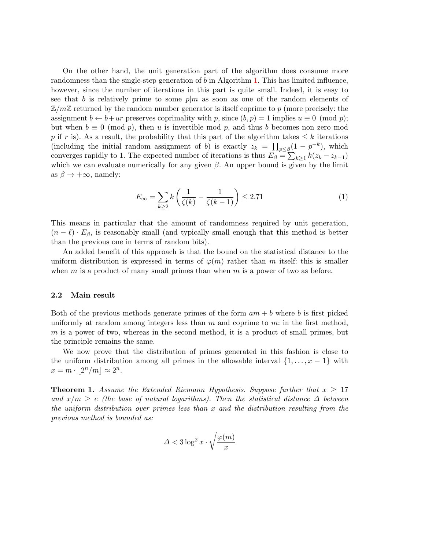On the other hand, the unit generation part of the algorithm does consume more randomness than the single-step generation of b in Algorithm [1.](#page-2-1) This has limited influence, however, since the number of iterations in this part is quite small. Indeed, it is easy to see that b is relatively prime to some  $p|m$  as soon as one of the random elements of  $\mathbb{Z}/m\mathbb{Z}$  returned by the random number generator is itself coprime to p (more precisely: the assignment  $b \leftarrow b + ur$  preserves coprimality with p, since  $(b, p) = 1$  implies  $u \equiv 0 \pmod{p}$ ; but when  $b \equiv 0 \pmod{p}$ , then u is invertible mod p, and thus b becomes non zero mod p if r is). As a result, the probability that this part of the algorithm takes  $\leq k$  iterations (including the initial random assignment of b) is exactly  $z_k = \prod_{p \leq \beta} (1 - p^{-k})$ , which converges rapidly to 1. The expected number of iterations is thus  $E_{\beta} = \sum_{k \geq 1} k(z_k - z_{k-1})$ which we can evaluate numerically for any given  $\beta$ . An upper bound is given by the limit as  $\beta \to +\infty$ , namely:

<span id="page-4-1"></span>
$$
E_{\infty} = \sum_{k \ge 2} k \left( \frac{1}{\zeta(k)} - \frac{1}{\zeta(k-1)} \right) \le 2.71 \tag{1}
$$

This means in particular that the amount of randomness required by unit generation,  $(n - \ell) \cdot E_\beta$ , is reasonably small (and typically small enough that this method is better than the previous one in terms of random bits).

An added benefit of this approach is that the bound on the statistical distance to the uniform distribution is expressed in terms of  $\varphi(m)$  rather than m itself: this is smaller when  $m$  is a product of many small primes than when  $m$  is a power of two as before.

#### 2.2 Main result

Both of the previous methods generate primes of the form  $am + b$  where b is first picked uniformly at random among integers less than  $m$  and coprime to  $m$ : in the first method,  $m$  is a power of two, whereas in the second method, it is a product of small primes, but the principle remains the same.

We now prove that the distribution of primes generated in this fashion is close to the uniform distribution among all primes in the allowable interval  $\{1, \ldots, x-1\}$  with  $x = m \cdot |2^n/m| \approx 2^n$ .

<span id="page-4-0"></span>**Theorem 1.** Assume the Extended Riemann Hypothesis. Suppose further that  $x > 17$ and  $x/m \geq e$  (the base of natural logarithms). Then the statistical distance  $\Delta$  between the uniform distribution over primes less than x and the distribution resulting from the previous method is bounded as:

$$
\varDelta < 3 \log^2 x \cdot \sqrt{\frac{\varphi(m)}{x}}
$$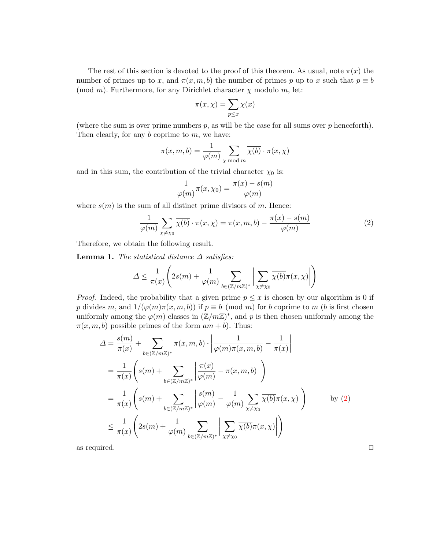The rest of this section is devoted to the proof of this theorem. As usual, note  $\pi(x)$  the number of primes up to x, and  $\pi(x, m, b)$  the number of primes p up to x such that  $p \equiv b$ (mod m). Furthermore, for any Dirichlet character  $\chi$  modulo m, let:

$$
\pi(x,\chi) = \sum_{p \le x} \chi(x)
$$

(where the sum is over prime numbers  $p$ , as will be the case for all sums over  $p$  henceforth). Then clearly, for any  $b$  coprime to  $m$ , we have:

$$
\pi(x, m, b) = \frac{1}{\varphi(m)} \sum_{\chi \bmod m} \overline{\chi(b)} \cdot \pi(x, \chi)
$$

and in this sum, the contribution of the trivial character  $\chi_0$  is:

$$
\frac{1}{\varphi(m)}\pi(x,\chi_0) = \frac{\pi(x) - s(m)}{\varphi(m)}
$$

where  $s(m)$  is the sum of all distinct prime divisors of m. Hence:

<span id="page-5-0"></span>
$$
\frac{1}{\varphi(m)} \sum_{\chi \neq \chi_0} \overline{\chi(b)} \cdot \pi(x, \chi) = \pi(x, m, b) - \frac{\pi(x) - s(m)}{\varphi(m)}
$$
(2)

Therefore, we obtain the following result.

<span id="page-5-1"></span>**Lemma 1.** The statistical distance  $\Delta$  satisfies:

$$
\Delta \leq \frac{1}{\pi(x)} \left( 2s(m) + \frac{1}{\varphi(m)} \sum_{b \in (\mathbb{Z}/m\mathbb{Z})^*} \left| \sum_{\chi \neq \chi_0} \overline{\chi(b)} \pi(x, \chi) \right| \right)
$$

*Proof.* Indeed, the probability that a given prime  $p \leq x$  is chosen by our algorithm is 0 if p divides m, and  $1/(\varphi(m)\pi(x,m,b))$  if  $p \equiv b \pmod{m}$  for b coprime to m (b is first chosen uniformly among the  $\varphi(m)$  classes in  $(\mathbb{Z}/m\mathbb{Z})^*$ , and p is then chosen uniformly among the  $\pi(x, m, b)$  possible primes of the form  $am + b$ ). Thus:

$$
\Delta = \frac{s(m)}{\pi(x)} + \sum_{b \in (\mathbb{Z}/m\mathbb{Z})^*} \pi(x, m, b) \cdot \left| \frac{1}{\varphi(m)\pi(x, m, b)} - \frac{1}{\pi(x)} \right|
$$
  
\n
$$
= \frac{1}{\pi(x)} \left( s(m) + \sum_{b \in (\mathbb{Z}/m\mathbb{Z})^*} \left| \frac{\pi(x)}{\varphi(m)} - \pi(x, m, b) \right| \right)
$$
  
\n
$$
= \frac{1}{\pi(x)} \left( s(m) + \sum_{b \in (\mathbb{Z}/m\mathbb{Z})^*} \left| \frac{s(m)}{\varphi(m)} - \frac{1}{\varphi(m)} \sum_{\chi \neq \chi_0} \overline{\chi(b)} \pi(x, \chi) \right| \right) \qquad \text{by (2)}
$$
  
\n
$$
\leq \frac{1}{\pi(x)} \left( 2s(m) + \frac{1}{\varphi(m)} \sum_{b \in (\mathbb{Z}/m\mathbb{Z})^*} \left| \sum_{\chi \neq \chi_0} \overline{\chi(b)} \pi(x, \chi) \right| \right)
$$

as required.  $\Box$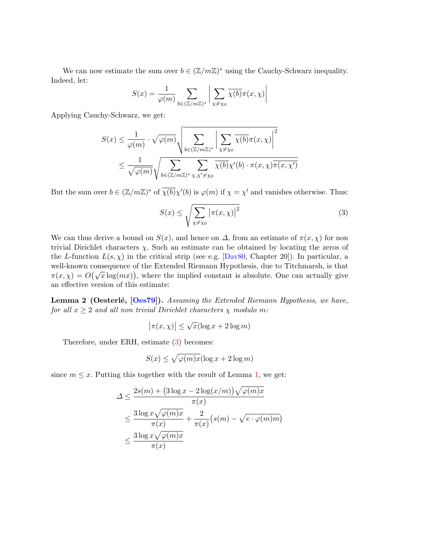We can now estimate the sum over  $b \in (\mathbb{Z}/m\mathbb{Z})^*$  using the Cauchy-Schwarz inequality. Indeed, let:

$$
S(x) = \frac{1}{\varphi(m)} \sum_{b \in (\mathbb{Z}/m\mathbb{Z})^*} \left| \sum_{\chi \neq \chi_0} \overline{\chi(b)} \pi(x, \chi) \right|
$$

Applying Cauchy-Schwarz, we get:

$$
S(x) \leq \frac{1}{\varphi(m)} \cdot \sqrt{\varphi(m)} \sqrt{\sum_{b \in (\mathbb{Z}/m\mathbb{Z})^*} \left| \sum_{\chi \neq \chi_0} \overline{\chi(b)} \pi(x, \chi) \right|^2}
$$
  
 
$$
\leq \frac{1}{\sqrt{\varphi(m)}} \sqrt{\sum_{b \in (\mathbb{Z}/m\mathbb{Z})^*} \sum_{\chi, \chi' \neq \chi_0} \overline{\chi(b)} \chi'(b) \cdot \pi(x, \chi) \overline{\pi(x, \chi')}
$$

But the sum over  $b \in (\mathbb{Z}/m\mathbb{Z})^*$  of  $\overline{\chi(b)}\chi'(b)$  is  $\varphi(m)$  if  $\chi = \chi'$  and vanishes otherwise. Thus:

<span id="page-6-0"></span>
$$
S(x) \le \sqrt{\sum_{\chi \ne \chi_0} |\pi(x, \chi)|^2} \tag{3}
$$

We can thus derive a bound on  $S(x)$ , and hence on  $\Delta$ , from an estimate of  $\pi(x, \chi)$  for non trivial Dirichlet characters  $\chi$ . Such an estimate can be obtained by locating the zeros of the L-function  $L(s, \chi)$  in the critical strip (see e.g. [\[Dav80,](#page-11-10) Chapter 20]). In particular, a well-known consequence of the Extended Riemann Hypothesis, due to Titchmarsh, is that wen-known consequence of the Extended Riemann Hypothesis, due to Trichmarsh, is that  $\pi(x, \chi) = O(\sqrt{x} \log(mx))$ , where the implied constant is absolute. One can actually give an effective version of this estimate:

<span id="page-6-1"></span>Lemma 2 (Oesterlé, [\[Oes79\]](#page-11-11)). Assuming the Extended Riemann Hypothesis, we have, for all  $x \geq 2$  and all non trivial Dirichlet characters  $\chi$  modulo m:

$$
|\pi(x,\chi)| \le \sqrt{x}(\log x + 2\log m)
$$

Therefore, under ERH, estimate [\(3\)](#page-6-0) becomes:

$$
S(x) \le \sqrt{\varphi(m)x}(\log x + 2\log m)
$$

since  $m \leq x$ . Putting this together with the result of Lemma [1,](#page-5-1) we get:

$$
\Delta \le \frac{2s(m) + (3\log x - 2\log(x/m))\sqrt{\varphi(m)x}}{\pi(x)} \n\le \frac{3\log x\sqrt{\varphi(m)x}}{\pi(x)} + \frac{2}{\pi(x)}(s(m) - \sqrt{e \cdot \varphi(m)m}) \n\le \frac{3\log x\sqrt{\varphi(m)x}}{\pi(x)}
$$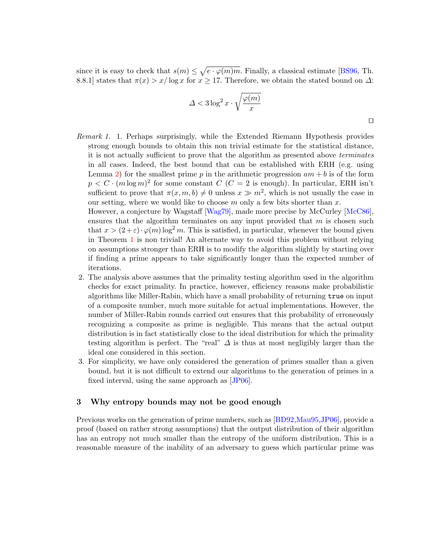since it is easy to check that  $s(m) \leq \sqrt{e \cdot \varphi(m)m}$ . Finally, a classical estimate [\[BS96,](#page-11-12) Th. 8.8.1] states that  $\pi(x) > x/\log x$  for  $x \ge 17$ . Therefore, we obtain the stated bound on  $\Delta$ :

$$
\varDelta < 3 \log^2 x \cdot \sqrt{\frac{\varphi(m)}{x}}
$$

Remark 1. 1. Perhaps surprisingly, while the Extended Riemann Hypothesis provides strong enough bounds to obtain this non trivial estimate for the statistical distance, it is not actually sufficient to prove that the algorithm as presented above terminates in all cases. Indeed, the best bound that can be established with ERH (e.g. using Lemma [2\)](#page-6-1) for the smallest prime p in the arithmetic progression  $am + b$  is of the form  $p < C \cdot (m \log m)^2$  for some constant  $C \ (C = 2 \text{ is enough})$ . In particular, ERH isn't sufficient to prove that  $\pi(x, m, b) \neq 0$  unless  $x \gg m^2$ , which is not usually the case in our setting, where we would like to choose  $m$  only a few bits shorter than  $x$ .

However, a conjecture by Wagstaff [\[Wag79\]](#page-11-13), made more precise by McCurley [\[McC86\]](#page-11-14), ensures that the algorithm terminates on any input provided that  $m$  is chosen such that  $x > (2+\varepsilon) \cdot \varphi(m) \log^2 m$ . This is satisfied, in particular, whenever the bound given in Theorem [1](#page-4-0) is non trivial! An alternate way to avoid this problem without relying on assumptions stronger than ERH is to modify the algorithm slightly by starting over if finding a prime appears to take significantly longer than the expected number of iterations.

- 2. The analysis above assumes that the primality testing algorithm used in the algorithm checks for exact primality. In practice, however, efficiency reasons make probabilistic algorithms like Miller-Rabin, which have a small probability of returning true on input of a composite number, much more suitable for actual implementations. However, the number of Miller-Rabin rounds carried out ensures that this probability of erroneously recognizing a composite as prime is negligible. This means that the actual output distribution is in fact statistically close to the ideal distribution for which the primality testing algorithm is perfect. The "real"  $\Delta$  is thus at most negligibly larger than the ideal one considered in this section.
- 3. For simplicity, we have only considered the generation of primes smaller than a given bound, but it is not difficult to extend our algorithms to the generation of primes in a fixed interval, using the same approach as [\[JP06\]](#page-11-4).

## <span id="page-7-0"></span>3 Why entropy bounds may not be good enough

Previous works on the generation of prime numbers, such as [\[BD92,](#page-11-2)[Mau95,](#page-11-6)[JP06\]](#page-11-4), provide a proof (based on rather strong assumptions) that the output distribution of their algorithm has an entropy not much smaller than the entropy of the uniform distribution. This is a reasonable measure of the inability of an adversary to guess which particular prime was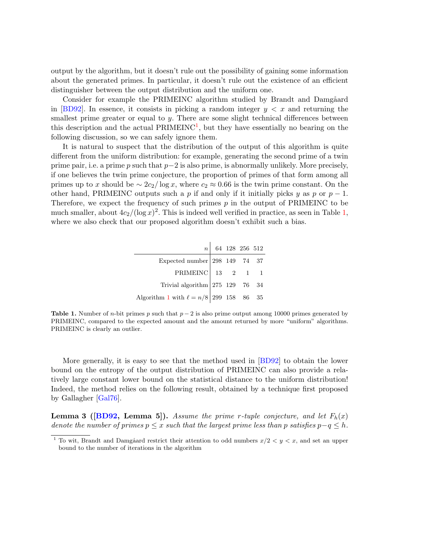output by the algorithm, but it doesn't rule out the possibility of gaining some information about the generated primes. In particular, it doesn't rule out the existence of an efficient distinguisher between the output distribution and the uniform one.

Consider for example the PRIMEINC algorithm studied by Brandt and Damgåard in [\[BD92\]](#page-11-2). In essence, it consists in picking a random integer  $y < x$  and returning the smallest prime greater or equal to  $y$ . There are some slight technical differences between this description and the actual  $\text{PRIMEINC}^1$  $\text{PRIMEINC}^1$ , but they have essentially no bearing on the following discussion, so we can safely ignore them.

It is natural to suspect that the distribution of the output of this algorithm is quite different from the uniform distribution: for example, generating the second prime of a twin prime pair, i.e. a prime p such that  $p-2$  is also prime, is abnormally unlikely. More precisely, if one believes the twin prime conjecture, the proportion of primes of that form among all primes up to x should be  $\sim 2c_2/\log x$ , where  $c_2 \approx 0.66$  is the twin prime constant. On the other hand, PRIMEINC outputs such a p if and only if it initially picks y as p or  $p-1$ . Therefore, we expect the frequency of such primes  $p$  in the output of PRIMEINC to be much smaller, about  $4c_2/(\log x)^2$ . This is indeed well verified in practice, as seen in Table [1,](#page-8-1) where we also check that our proposed algorithm doesn't exhibit such a bias.

|                                                                                                                                                                            |  | $n \begin{array}{ l} 64 & 128 & 256 & 512 \end{array}$ |  |
|----------------------------------------------------------------------------------------------------------------------------------------------------------------------------|--|--------------------------------------------------------|--|
| Expected number 298 149 74 37                                                                                                                                              |  |                                                        |  |
| $\begin{tabular}{c ccc} \multicolumn{1}{c }{\textbf{PRIMEINC}} & 13 & 2 & 1 & 1 \\ \multicolumn{1}{c }{\textbf{Trivial algorithm}} & 275 & 129 & 76 & 34 \\ \end{tabular}$ |  |                                                        |  |
|                                                                                                                                                                            |  |                                                        |  |
| Algorithm 1 with $\ell = n/8$ 299 158 86 35                                                                                                                                |  |                                                        |  |

<span id="page-8-1"></span>**Table 1.** Number of *n*-bit primes p such that  $p-2$  is also prime output among 10000 primes generated by PRIMEINC, compared to the expected amount and the amount returned by more "uniform" algorithms. PRIMEINC is clearly an outlier.

More generally, it is easy to see that the method used in [\[BD92\]](#page-11-2) to obtain the lower bound on the entropy of the output distribution of PRIMEINC can also provide a relatively large constant lower bound on the statistical distance to the uniform distribution! Indeed, the method relies on the following result, obtained by a technique first proposed by Gallagher [\[Gal76\]](#page-11-15).

<span id="page-8-2"></span>**Lemma 3 ([\[BD92,](#page-11-2) Lemma 5]).** Assume the prime r-tuple conjecture, and let  $F_h(x)$ denote the number of primes  $p \leq x$  such that the largest prime less than p satisfies  $p-q \leq h$ .

<span id="page-8-0"></span><sup>&</sup>lt;sup>1</sup> To wit, Brandt and Damgåard restrict their attention to odd numbers  $x/2 < y < x$ , and set an upper bound to the number of iterations in the algorithm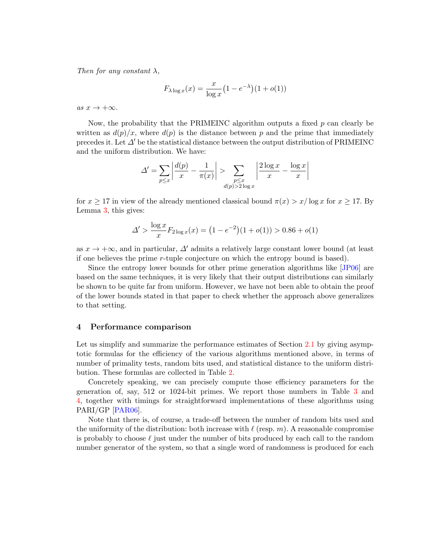Then for any constant  $\lambda$ ,

$$
F_{\lambda \log x}(x) = \frac{x}{\log x} \left(1 - e^{-\lambda}\right) \left(1 + o(1)\right)
$$

as  $x \to +\infty$ .

Now, the probability that the PRIMEINC algorithm outputs a fixed  $p$  can clearly be written as  $d(p)/x$ , where  $d(p)$  is the distance between p and the prime that immediately precedes it. Let  $\Delta'$  be the statistical distance between the output distribution of PRIMEINC and the uniform distribution. We have:

$$
\Delta' = \sum_{p \le x} \left| \frac{d(p)}{x} - \frac{1}{\pi(x)} \right| > \sum_{\substack{p \le x \\ d(p) > 2 \log x}} \left| \frac{2 \log x}{x} - \frac{\log x}{x} \right|
$$

for  $x \ge 17$  in view of the already mentioned classical bound  $\pi(x) > x/\log x$  for  $x \ge 17$ . By Lemma [3,](#page-8-2) this gives:

$$
\Delta' > \frac{\log x}{x} F_{2\log x}(x) = \left(1 - e^{-2}\right) \left(1 + o(1)\right) > 0.86 + o(1)
$$

as  $x \to +\infty$ , and in particular,  $\Delta'$  admits a relatively large constant lower bound (at least if one believes the prime r-tuple conjecture on which the entropy bound is based).

Since the entropy lower bounds for other prime generation algorithms like [\[JP06\]](#page-11-4) are based on the same techniques, it is very likely that their output distributions can similarly be shown to be quite far from uniform. However, we have not been able to obtain the proof of the lower bounds stated in that paper to check whether the approach above generalizes to that setting.

## <span id="page-9-0"></span>4 Performance comparison

Let us simplify and summarize the performance estimates of Section [2.1](#page-2-2) by giving asymptotic formulas for the efficiency of the various algorithms mentioned above, in terms of number of primality tests, random bits used, and statistical distance to the uniform distribution. These formulas are collected in Table [2.](#page-10-0)

Concretely speaking, we can precisely compute those efficiency parameters for the generation of, say, 512 or 1024-bit primes. We report those numbers in Table [3](#page-10-1) and [4,](#page-10-2) together with timings for straightforward implementations of these algorithms using PARI/GP [\[PAR06\]](#page-11-16).

Note that there is, of course, a trade-off between the number of random bits used and the uniformity of the distribution: both increase with  $\ell$  (resp. m). A reasonable compromise is probably to choose  $\ell$  just under the number of bits produced by each call to the random number generator of the system, so that a single word of randomness is produced for each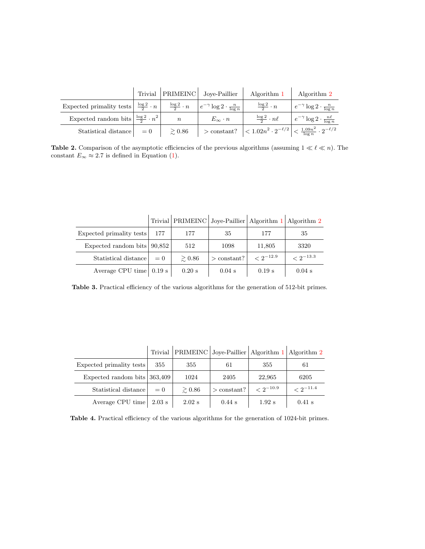|                                                                                                                                                      |                  | Trivial PRIMEINC Joye-Paillier | Algorithm 1                                                                                                             | Algorithm 2                                     |
|------------------------------------------------------------------------------------------------------------------------------------------------------|------------------|--------------------------------|-------------------------------------------------------------------------------------------------------------------------|-------------------------------------------------|
| Expected primality tests $\frac{\log 2}{2} \cdot n \left  \frac{\log 2}{2} \cdot n \right  \left  e^{-\gamma} \log 2 \cdot \frac{n}{\log n} \right $ |                  |                                | $rac{\log 2}{2} \cdot n$                                                                                                | $e^{-\gamma} \log 2 \cdot \frac{n}{\log n}$     |
| Expected random bits $\frac{\log 2}{2} \cdot n^2$                                                                                                    | $\boldsymbol{n}$ | $E_\infty\cdot n$              | $\frac{\log 2}{2} \cdot n\ell$                                                                                          | $e^{-\gamma} \log 2 \cdot \frac{n\ell}{\log n}$ |
| Statistical distance $\vert$ = 0                                                                                                                     | $\gtrsim 0.86$   |                                | > constant? $\left  \langle 1.02n^2 \cdot 2^{-\ell/2} \right  \langle \frac{1.09n^2}{\log n} \cdot 2^{-\ell/2} \right $ |                                                 |

<span id="page-10-0"></span>**Table 2.** Comparison of the asymptotic efficiencies of the previous algorithms (assuming  $1 \ll \ell \ll n$ ). The constant  $E_{\infty} \approx 2.7$  is defined in Equation [\(1\)](#page-4-1).

|                                               |       |                | Trivial PRIMEINC Joye-Paillier   Algorithm 1   Algorithm 2 |                  |                   |
|-----------------------------------------------|-------|----------------|------------------------------------------------------------|------------------|-------------------|
| Expected primality tests                      | 177   | 177            | 35                                                         | 177              | 35                |
| Expected random bits $90,852$                 |       | 512            | 1098                                                       | 11,805           | 3320              |
| Statistical distance                          | $= 0$ | $\gtrsim 0.86$ | $>$ constant?                                              | $\leq 2^{-12.9}$ | $\rm < 2^{-13.3}$ |
| Average CPU time $\vert 0.19 \text{ s} \vert$ |       | $0.20$ s       | $0.04$ s                                                   | $0.19$ s         | $0.04$ s          |

<span id="page-10-1"></span>Table 3. Practical efficiency of the various algorithms for the generation of 512-bit primes.

|                                               |       |             | Trivial PRIMEINC Joye-Paillier Algorithm 1 Algorithm 2 |                  |               |
|-----------------------------------------------|-------|-------------|--------------------------------------------------------|------------------|---------------|
| Expected primality tests                      | 355   | 355         | 61                                                     | 355              | 61            |
| Expected random bits 363,409                  |       | 1024        | 2405                                                   | 22,965           | 6205          |
| Statistical distance                          | $= 0$ | $\geq 0.86$ | $>$ constant?                                          | $\leq 2^{-10.9}$ | $< 2^{-11.4}$ |
| Average CPU time $\vert 2.03 \text{ s} \vert$ |       | $2.02$ s    | $0.44$ s                                               | $1.92$ s         | $0.41$ s      |

<span id="page-10-2"></span>Table 4. Practical efficiency of the various algorithms for the generation of 1024-bit primes.